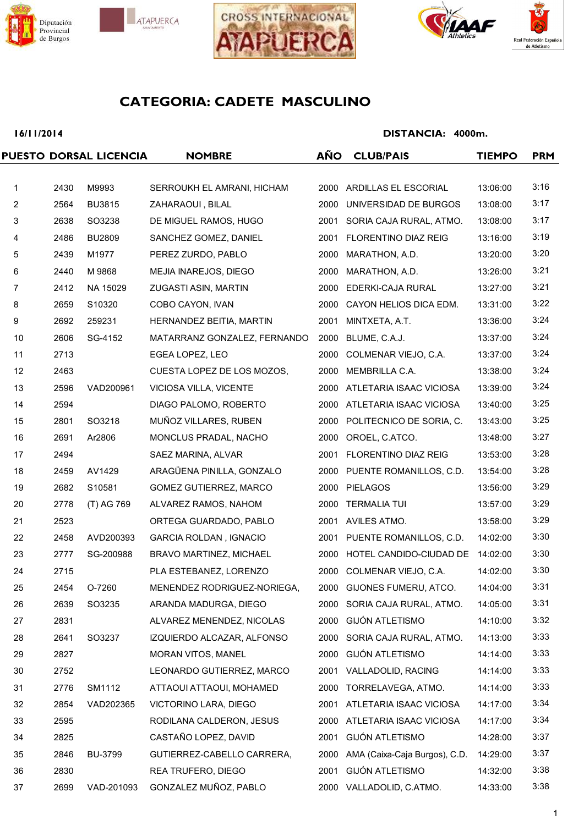







#### 16/11/2014

|                |      | PUESTO DORSAL LICENCIA | <b>NOMBRE</b>                  | AÑO  | <b>CLUB/PAIS</b>              | <b>TIEMPO</b> | <b>PRM</b> |
|----------------|------|------------------------|--------------------------------|------|-------------------------------|---------------|------------|
|                |      |                        |                                |      |                               |               |            |
| $\mathbf 1$    | 2430 | M9993                  | SERROUKH EL AMRANI, HICHAM     | 2000 | ARDILLAS EL ESCORIAL          | 13:06:00      | 3:16       |
| 2              | 2564 | <b>BU3815</b>          | ZAHARAOUI, BILAL               | 2000 | UNIVERSIDAD DE BURGOS         | 13:08:00      | 3:17       |
| 3              | 2638 | SO3238                 | DE MIGUEL RAMOS, HUGO          | 2001 | SORIA CAJA RURAL, ATMO.       | 13:08:00      | 3:17       |
| 4              | 2486 | <b>BU2809</b>          | SANCHEZ GOMEZ, DANIEL          |      | 2001 FLORENTINO DIAZ REIG     | 13:16:00      | 3:19       |
| 5              | 2439 | M1977                  | PEREZ ZURDO, PABLO             | 2000 | MARATHON, A.D.                | 13:20:00      | 3:20       |
| 6              | 2440 | M 9868                 | MEJIA INAREJOS, DIEGO          | 2000 | MARATHON, A.D.                | 13:26:00      | 3:21       |
| $\overline{7}$ | 2412 | NA 15029               | ZUGASTI ASIN, MARTIN           | 2000 | EDERKI-CAJA RURAL             | 13:27:00      | 3:21       |
| 8              | 2659 | S10320                 | COBO CAYON, IVAN               | 2000 | CAYON HELIOS DICA EDM.        | 13:31:00      | 3:22       |
| 9              | 2692 | 259231                 | HERNANDEZ BEITIA, MARTIN       | 2001 | MINTXETA, A.T.                | 13:36:00      | 3:24       |
| 10             | 2606 | SG-4152                | MATARRANZ GONZALEZ, FERNANDO   | 2000 | BLUME, C.A.J.                 | 13:37:00      | 3:24       |
| 11             | 2713 |                        | EGEA LOPEZ, LEO                | 2000 | COLMENAR VIEJO, C.A.          | 13:37:00      | 3:24       |
| 12             | 2463 |                        | CUESTA LOPEZ DE LOS MOZOS,     | 2000 | MEMBRILLA C.A.                | 13:38:00      | 3:24       |
| 13             | 2596 | VAD200961              | VICIOSA VILLA, VICENTE         | 2000 | ATLETARIA ISAAC VICIOSA       | 13:39:00      | 3:24       |
| 14             | 2594 |                        | DIAGO PALOMO, ROBERTO          |      | 2000 ATLETARIA ISAAC VICIOSA  | 13:40:00      | 3:25       |
| 15             | 2801 | SO3218                 | MUÑOZ VILLARES, RUBEN          |      | 2000 POLITECNICO DE SORIA, C. | 13:43:00      | 3:25       |
| 16             | 2691 | Ar2806                 | MONCLUS PRADAL, NACHO          | 2000 | OROEL, C.ATCO.                | 13:48:00      | 3:27       |
| 17             | 2494 |                        | SAEZ MARINA, ALVAR             | 2001 | FLORENTINO DIAZ REIG          | 13:53:00      | 3:28       |
| 18             | 2459 | AV1429                 | ARAGÜENA PINILLA, GONZALO      |      | 2000 PUENTE ROMANILLOS, C.D.  | 13:54:00      | 3:28       |
| 19             | 2682 | S10581                 | GOMEZ GUTIERREZ, MARCO         | 2000 | <b>PIELAGOS</b>               | 13:56:00      | 3:29       |
| 20             | 2778 | (T) AG 769             | ALVAREZ RAMOS, NAHOM           | 2000 | <b>TERMALIA TUI</b>           | 13:57:00      | 3:29       |
| 21             | 2523 |                        | ORTEGA GUARDADO, PABLO         |      | 2001 AVILES ATMO.             | 13:58:00      | 3:29       |
| 22             | 2458 | AVD200393              | <b>GARCIA ROLDAN, IGNACIO</b>  |      | 2001 PUENTE ROMANILLOS, C.D.  | 14:02:00      | 3:30       |
| 23             | 2777 | SG-200988              | <b>BRAVO MARTINEZ, MICHAEL</b> |      | 2000 HOTEL CANDIDO-CIUDAD DE  | 14:02:00      | 3:30       |
| 24             | 2715 |                        | PLA ESTEBANEZ, LORENZO         | 2000 | COLMENAR VIEJO, C.A.          | 14:02:00      | 3:30       |
| 25             |      | 2454 O-7260            | MENENDEZ RODRIGUEZ-NORIEGA,    |      | 2000 GIJONES FUMERU, ATCO.    | 14:04:00      | 3:31       |
| 26             | 2639 | SO3235                 | ARANDA MADURGA, DIEGO          |      | 2000 SORIA CAJA RURAL, ATMO.  | 14:05:00      | 3:31       |
| 27             | 2831 |                        | ALVAREZ MENENDEZ, NICOLAS      | 2000 | <b>GIJÓN ATLETISMO</b>        | 14:10:00      | 3:32       |
| 28             | 2641 | SO3237                 | IZQUIERDO ALCAZAR, ALFONSO     | 2000 | SORIA CAJA RURAL, ATMO.       | 14:13:00      | 3:33       |
| 29             | 2827 |                        | MORAN VITOS, MANEL             | 2000 | <b>GIJÓN ATLETISMO</b>        | 14:14:00      | 3:33       |
| 30             | 2752 |                        | LEONARDO GUTIERREZ, MARCO      | 2001 | VALLADOLID, RACING            | 14:14:00      | 3:33       |
| 31             | 2776 | SM1112                 | ATTAOUI ATTAOUI, MOHAMED       | 2000 | TORRELAVEGA, ATMO.            | 14:14:00      | 3:33       |
| 32             | 2854 | VAD202365              | VICTORINO LARA, DIEGO          | 2001 | ATLETARIA ISAAC VICIOSA       | 14:17:00      | 3:34       |
| 33             | 2595 |                        | RODILANA CALDERON, JESUS       |      | 2000 ATLETARIA ISAAC VICIOSA  | 14:17:00      | 3:34       |
| 34             | 2825 |                        | CASTAÑO LOPEZ, DAVID           | 2001 | <b>GIJÓN ATLETISMO</b>        | 14:28:00      | 3:37       |
| 35             | 2846 | <b>BU-3799</b>         | GUTIERREZ-CABELLO CARRERA,     | 2000 | AMA (Caixa-Caja Burgos), C.D. | 14:29:00      | 3:37       |
| 36             | 2830 |                        | REA TRUFERO, DIEGO             | 2001 | <b>GIJÓN ATLETISMO</b>        | 14:32:00      | 3:38       |
| 37             | 2699 | VAD-201093             | GONZALEZ MUÑOZ, PABLO          |      | 2000 VALLADOLID, C.ATMO.      | 14:33:00      | 3:38       |
|                |      |                        |                                |      |                               |               |            |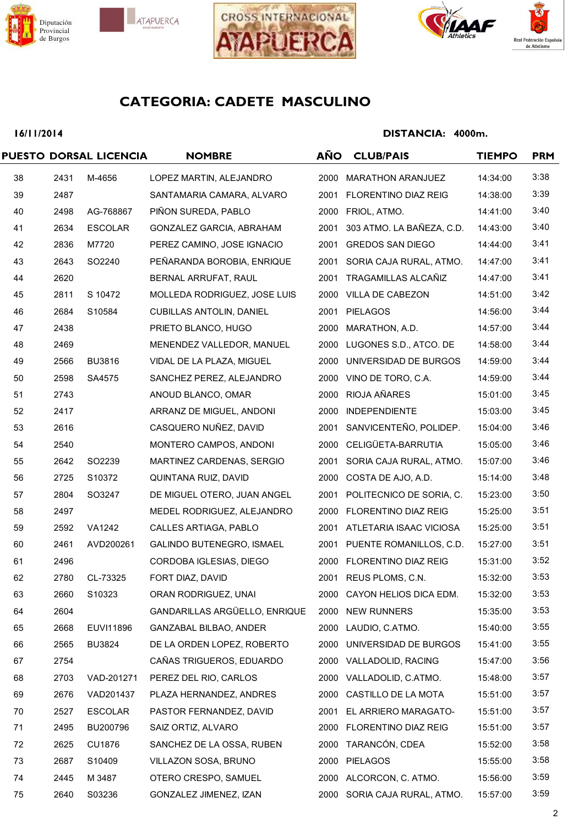







### 16/11/2014

|      |                | <b>NOMBRE</b>                   | AÑO                    | <b>CLUB/PAIS</b>   | <b>TIEMPO</b>                                                                                                                                                                                                                                                                                                                                                                                                                                                                                                                                                                                                                                                                                                                                                                                                                                                                                                                                                                                                                                      | <b>PRM</b> |
|------|----------------|---------------------------------|------------------------|--------------------|----------------------------------------------------------------------------------------------------------------------------------------------------------------------------------------------------------------------------------------------------------------------------------------------------------------------------------------------------------------------------------------------------------------------------------------------------------------------------------------------------------------------------------------------------------------------------------------------------------------------------------------------------------------------------------------------------------------------------------------------------------------------------------------------------------------------------------------------------------------------------------------------------------------------------------------------------------------------------------------------------------------------------------------------------|------------|
| 2431 | M-4656         | LOPEZ MARTIN, ALEJANDRO         |                        |                    | 14:34:00                                                                                                                                                                                                                                                                                                                                                                                                                                                                                                                                                                                                                                                                                                                                                                                                                                                                                                                                                                                                                                           | 3:38       |
| 2487 |                | SANTAMARIA CAMARA, ALVARO       |                        |                    | 14:38:00                                                                                                                                                                                                                                                                                                                                                                                                                                                                                                                                                                                                                                                                                                                                                                                                                                                                                                                                                                                                                                           | 3:39       |
| 2498 | AG-768867      | PIÑON SUREDA, PABLO             |                        |                    | 14:41:00                                                                                                                                                                                                                                                                                                                                                                                                                                                                                                                                                                                                                                                                                                                                                                                                                                                                                                                                                                                                                                           | 3:40       |
| 2634 | <b>ESCOLAR</b> | GONZALEZ GARCIA, ABRAHAM        |                        |                    | 14:43:00                                                                                                                                                                                                                                                                                                                                                                                                                                                                                                                                                                                                                                                                                                                                                                                                                                                                                                                                                                                                                                           | 3:40       |
| 2836 | M7720          | PEREZ CAMINO, JOSE IGNACIO      |                        |                    | 14:44:00                                                                                                                                                                                                                                                                                                                                                                                                                                                                                                                                                                                                                                                                                                                                                                                                                                                                                                                                                                                                                                           | 3:41       |
| 2643 | SO2240         | PEÑARANDA BOROBIA, ENRIQUE      |                        |                    | 14:47:00                                                                                                                                                                                                                                                                                                                                                                                                                                                                                                                                                                                                                                                                                                                                                                                                                                                                                                                                                                                                                                           | 3:41       |
| 2620 |                | BERNAL ARRUFAT, RAUL            |                        |                    | 14:47:00                                                                                                                                                                                                                                                                                                                                                                                                                                                                                                                                                                                                                                                                                                                                                                                                                                                                                                                                                                                                                                           | 3:41       |
| 2811 | S 10472        | MOLLEDA RODRIGUEZ, JOSE LUIS    |                        |                    | 14:51:00                                                                                                                                                                                                                                                                                                                                                                                                                                                                                                                                                                                                                                                                                                                                                                                                                                                                                                                                                                                                                                           | 3:42       |
| 2684 | S10584         | <b>CUBILLAS ANTOLIN, DANIEL</b> |                        |                    | 14:56:00                                                                                                                                                                                                                                                                                                                                                                                                                                                                                                                                                                                                                                                                                                                                                                                                                                                                                                                                                                                                                                           | 3:44       |
| 2438 |                | PRIETO BLANCO, HUGO             |                        |                    | 14:57:00                                                                                                                                                                                                                                                                                                                                                                                                                                                                                                                                                                                                                                                                                                                                                                                                                                                                                                                                                                                                                                           | 3:44       |
| 2469 |                | MENENDEZ VALLEDOR, MANUEL       |                        |                    | 14:58:00                                                                                                                                                                                                                                                                                                                                                                                                                                                                                                                                                                                                                                                                                                                                                                                                                                                                                                                                                                                                                                           | 3:44       |
| 2566 | <b>BU3816</b>  | VIDAL DE LA PLAZA, MIGUEL       |                        |                    | 14:59:00                                                                                                                                                                                                                                                                                                                                                                                                                                                                                                                                                                                                                                                                                                                                                                                                                                                                                                                                                                                                                                           | 3:44       |
| 2598 | SA4575         | SANCHEZ PEREZ, ALEJANDRO        |                        |                    | 14:59:00                                                                                                                                                                                                                                                                                                                                                                                                                                                                                                                                                                                                                                                                                                                                                                                                                                                                                                                                                                                                                                           | 3:44       |
| 2743 |                | ANOUD BLANCO, OMAR              |                        |                    | 15:01:00                                                                                                                                                                                                                                                                                                                                                                                                                                                                                                                                                                                                                                                                                                                                                                                                                                                                                                                                                                                                                                           | 3:45       |
| 2417 |                | ARRANZ DE MIGUEL, ANDONI        |                        |                    | 15:03:00                                                                                                                                                                                                                                                                                                                                                                                                                                                                                                                                                                                                                                                                                                                                                                                                                                                                                                                                                                                                                                           | 3:45       |
| 2616 |                | CASQUERO NUÑEZ, DAVID           |                        |                    | 15:04:00                                                                                                                                                                                                                                                                                                                                                                                                                                                                                                                                                                                                                                                                                                                                                                                                                                                                                                                                                                                                                                           | 3:46       |
| 2540 |                | MONTERO CAMPOS, ANDONI          |                        |                    | 15:05:00                                                                                                                                                                                                                                                                                                                                                                                                                                                                                                                                                                                                                                                                                                                                                                                                                                                                                                                                                                                                                                           | 3:46       |
| 2642 | SO2239         | MARTINEZ CARDENAS, SERGIO       |                        |                    | 15:07:00                                                                                                                                                                                                                                                                                                                                                                                                                                                                                                                                                                                                                                                                                                                                                                                                                                                                                                                                                                                                                                           | 3:46       |
| 2725 | S10372         | QUINTANA RUIZ, DAVID            |                        | COSTA DE AJO, A.D. | 15:14:00                                                                                                                                                                                                                                                                                                                                                                                                                                                                                                                                                                                                                                                                                                                                                                                                                                                                                                                                                                                                                                           | 3:48       |
| 2804 | SO3247         | DE MIGUEL OTERO, JUAN ANGEL     |                        |                    | 15:23:00                                                                                                                                                                                                                                                                                                                                                                                                                                                                                                                                                                                                                                                                                                                                                                                                                                                                                                                                                                                                                                           | 3:50       |
| 2497 |                | MEDEL RODRIGUEZ, ALEJANDRO      |                        |                    | 15:25:00                                                                                                                                                                                                                                                                                                                                                                                                                                                                                                                                                                                                                                                                                                                                                                                                                                                                                                                                                                                                                                           | 3:51       |
| 2592 | <b>VA1242</b>  | CALLES ARTIAGA, PABLO           |                        |                    | 15:25:00                                                                                                                                                                                                                                                                                                                                                                                                                                                                                                                                                                                                                                                                                                                                                                                                                                                                                                                                                                                                                                           | 3:51       |
| 2461 | AVD200261      | GALINDO BUTENEGRO, ISMAEL       |                        |                    | 15:27:00                                                                                                                                                                                                                                                                                                                                                                                                                                                                                                                                                                                                                                                                                                                                                                                                                                                                                                                                                                                                                                           | 3:51       |
| 2496 |                | CORDOBA IGLESIAS, DIEGO         |                        |                    | 15:31:00                                                                                                                                                                                                                                                                                                                                                                                                                                                                                                                                                                                                                                                                                                                                                                                                                                                                                                                                                                                                                                           | 3:52       |
| 2780 | CL-73325       | FORT DIAZ, DAVID                |                        |                    | 15:32:00                                                                                                                                                                                                                                                                                                                                                                                                                                                                                                                                                                                                                                                                                                                                                                                                                                                                                                                                                                                                                                           | 3:53       |
| 2660 | S10323         | ORAN RODRIGUEZ, UNAI            |                        |                    | 15:32:00                                                                                                                                                                                                                                                                                                                                                                                                                                                                                                                                                                                                                                                                                                                                                                                                                                                                                                                                                                                                                                           | 3:53       |
| 2604 |                | GANDARILLAS ARGÜELLO, ENRIQUE   |                        |                    | 15:35:00                                                                                                                                                                                                                                                                                                                                                                                                                                                                                                                                                                                                                                                                                                                                                                                                                                                                                                                                                                                                                                           | 3:53       |
| 2668 | EUVI11896      | GANZABAL BILBAO, ANDER          |                        |                    | 15:40:00                                                                                                                                                                                                                                                                                                                                                                                                                                                                                                                                                                                                                                                                                                                                                                                                                                                                                                                                                                                                                                           | 3:55       |
| 2565 | <b>BU3824</b>  | DE LA ORDEN LOPEZ, ROBERTO      |                        |                    | 15:41:00                                                                                                                                                                                                                                                                                                                                                                                                                                                                                                                                                                                                                                                                                                                                                                                                                                                                                                                                                                                                                                           | 3:55       |
| 2754 |                | CAÑAS TRIGUEROS, EDUARDO        |                        |                    | 15:47:00                                                                                                                                                                                                                                                                                                                                                                                                                                                                                                                                                                                                                                                                                                                                                                                                                                                                                                                                                                                                                                           | 3:56       |
| 2703 | VAD-201271     | PEREZ DEL RIO, CARLOS           |                        |                    | 15:48:00                                                                                                                                                                                                                                                                                                                                                                                                                                                                                                                                                                                                                                                                                                                                                                                                                                                                                                                                                                                                                                           | 3:57       |
| 2676 | VAD201437      | PLAZA HERNANDEZ, ANDRES         |                        |                    | 15:51:00                                                                                                                                                                                                                                                                                                                                                                                                                                                                                                                                                                                                                                                                                                                                                                                                                                                                                                                                                                                                                                           | 3:57       |
| 2527 | <b>ESCOLAR</b> | PASTOR FERNANDEZ, DAVID         |                        |                    | 15:51:00                                                                                                                                                                                                                                                                                                                                                                                                                                                                                                                                                                                                                                                                                                                                                                                                                                                                                                                                                                                                                                           | 3:57       |
| 2495 | BU200796       | SAIZ ORTIZ, ALVARO              |                        |                    | 15:51:00                                                                                                                                                                                                                                                                                                                                                                                                                                                                                                                                                                                                                                                                                                                                                                                                                                                                                                                                                                                                                                           | 3:57       |
| 2625 | CU1876         | SANCHEZ DE LA OSSA, RUBEN       |                        |                    | 15:52:00                                                                                                                                                                                                                                                                                                                                                                                                                                                                                                                                                                                                                                                                                                                                                                                                                                                                                                                                                                                                                                           | 3:58       |
| 2687 | S10409         | VILLAZON SOSA, BRUNO            |                        |                    | 15:55:00                                                                                                                                                                                                                                                                                                                                                                                                                                                                                                                                                                                                                                                                                                                                                                                                                                                                                                                                                                                                                                           | 3:58       |
| 2445 | M 3487         | OTERO CRESPO, SAMUEL            |                        |                    | 15:56:00                                                                                                                                                                                                                                                                                                                                                                                                                                                                                                                                                                                                                                                                                                                                                                                                                                                                                                                                                                                                                                           | 3:59       |
| 2640 | S03236         | GONZALEZ JIMENEZ, IZAN          |                        |                    | 15:57:00                                                                                                                                                                                                                                                                                                                                                                                                                                                                                                                                                                                                                                                                                                                                                                                                                                                                                                                                                                                                                                           | 3:59       |
|      |                |                                 | PUESTO DORSAL LICENCIA |                    | 2000 MARATHON ARANJUEZ<br>2001 FLORENTINO DIAZ REIG<br>2000 FRIOL, ATMO.<br>2001 303 ATMO. LA BAÑEZA, C.D.<br>2001 GREDOS SAN DIEGO<br>2001 SORIA CAJA RURAL, ATMO.<br>2001 TRAGAMILLAS ALCAÑIZ<br>2000 VILLA DE CABEZON<br>2001 PIELAGOS<br>2000 MARATHON, A.D.<br>2000 LUGONES S.D., ATCO. DE<br>2000 UNIVERSIDAD DE BURGOS<br>2000 VINO DE TORO, C.A.<br>2000 RIOJA AÑARES<br>2000 INDEPENDIENTE<br>2001 SANVICENTEÑO, POLIDEP.<br>2000 CELIGÜETA-BARRUTIA<br>2001 SORIA CAJA RURAL, ATMO.<br>2000<br>2001 POLITECNICO DE SORIA, C.<br>2000 FLORENTINO DIAZ REIG<br>2001 ATLETARIA ISAAC VICIOSA<br>2001 PUENTE ROMANILLOS, C.D.<br>2000 FLORENTINO DIAZ REIG<br>2001 REUS PLOMS, C.N.<br>2000 CAYON HELIOS DICA EDM.<br>2000 NEW RUNNERS<br>2000 LAUDIO, C.ATMO.<br>2000 UNIVERSIDAD DE BURGOS<br>2000 VALLADOLID, RACING<br>2000 VALLADOLID, C.ATMO.<br>2000 CASTILLO DE LA MOTA<br>2001 EL ARRIERO MARAGATO-<br>2000 FLORENTINO DIAZ REIG<br>2000 TARANCÓN, CDEA<br>2000 PIELAGOS<br>2000 ALCORCON, C. ATMO.<br>2000 SORIA CAJA RURAL, ATMO. |            |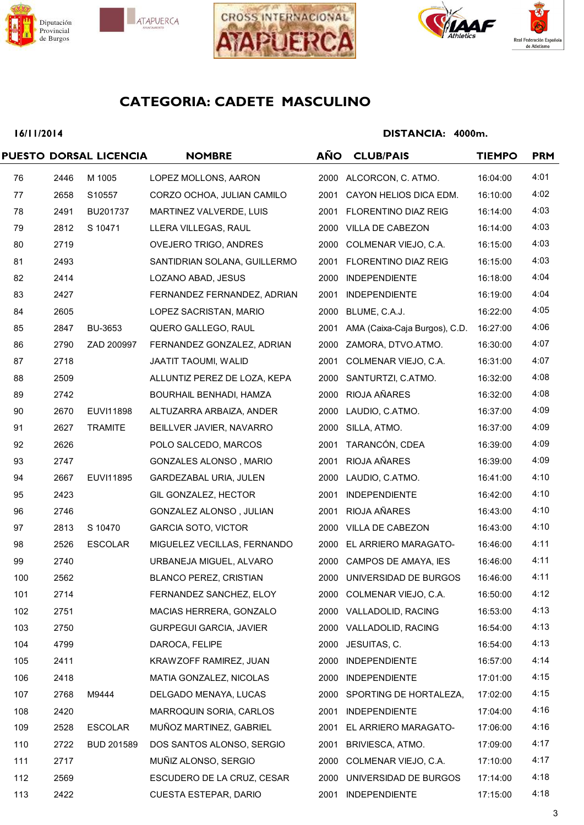







### 16/11/2014

|     |      | PUESTO DORSAL LICENCIA | <b>NOMBRE</b>                  | AÑO  | <b>CLUB/PAIS</b>              | <b>TIEMPO</b> | <b>PRM</b> |
|-----|------|------------------------|--------------------------------|------|-------------------------------|---------------|------------|
| 76  | 2446 | M 1005                 | LOPEZ MOLLONS, AARON           |      | 2000 ALCORCON, C. ATMO.       | 16:04:00      | 4:01       |
| 77  | 2658 | S10557                 | CORZO OCHOA, JULIAN CAMILO     |      | 2001 CAYON HELIOS DICA EDM.   | 16:10:00      | 4:02       |
| 78  | 2491 | BU201737               | MARTINEZ VALVERDE, LUIS        |      | 2001 FLORENTINO DIAZ REIG     | 16:14:00      | 4:03       |
| 79  | 2812 | S 10471                | LLERA VILLEGAS, RAUL           |      | 2000 VILLA DE CABEZON         | 16:14:00      | 4:03       |
| 80  | 2719 |                        | OVEJERO TRIGO, ANDRES          |      | 2000 COLMENAR VIEJO, C.A.     | 16:15:00      | 4:03       |
| 81  | 2493 |                        | SANTIDRIAN SOLANA, GUILLERMO   |      | 2001 FLORENTINO DIAZ REIG     | 16:15:00      | 4:03       |
| 82  | 2414 |                        | LOZANO ABAD, JESUS             | 2000 | <b>INDEPENDIENTE</b>          | 16:18:00      | 4:04       |
| 83  | 2427 |                        | FERNANDEZ FERNANDEZ, ADRIAN    |      | 2001 INDEPENDIENTE            | 16:19:00      | 4:04       |
| 84  | 2605 |                        | LOPEZ SACRISTAN, MARIO         |      | 2000 BLUME, C.A.J.            | 16:22:00      | 4:05       |
| 85  | 2847 | BU-3653                | QUERO GALLEGO, RAUL            | 2001 | AMA (Caixa-Caja Burgos), C.D. | 16:27:00      | 4:06       |
| 86  | 2790 | ZAD 200997             | FERNANDEZ GONZALEZ, ADRIAN     |      | 2000 ZAMORA, DTVO.ATMO.       | 16:30:00      | 4:07       |
| 87  | 2718 |                        | JAATIT TAOUMI, WALID           | 2001 | COLMENAR VIEJO, C.A.          | 16:31:00      | 4:07       |
| 88  | 2509 |                        | ALLUNTIZ PEREZ DE LOZA, KEPA   |      | 2000 SANTURTZI, C.ATMO.       | 16:32:00      | 4:08       |
| 89  | 2742 |                        | BOURHAIL BENHADI, HAMZA        |      | 2000 RIOJA AÑARES             | 16:32:00      | 4:08       |
| 90  | 2670 | EUVI11898              | ALTUZARRA ARBAIZA, ANDER       |      | 2000 LAUDIO, C.ATMO.          | 16:37:00      | 4:09       |
| 91  | 2627 | <b>TRAMITE</b>         | BEILLVER JAVIER, NAVARRO       |      | 2000 SILLA, ATMO.             | 16:37:00      | 4:09       |
| 92  | 2626 |                        | POLO SALCEDO, MARCOS           |      | 2001 TARANCÓN, CDEA           | 16:39:00      | 4:09       |
| 93  | 2747 |                        | GONZALES ALONSO, MARIO         |      | 2001 RIOJA AÑARES             | 16:39:00      | 4:09       |
| 94  | 2667 | EUVI11895              | GARDEZABAL URIA, JULEN         |      | 2000 LAUDIO, C.ATMO.          | 16:41:00      | 4:10       |
| 95  | 2423 |                        | GIL GONZALEZ, HECTOR           |      | 2001 INDEPENDIENTE            | 16:42:00      | 4:10       |
| 96  | 2746 |                        | GONZALEZ ALONSO, JULIAN        |      | 2001 RIOJA AÑARES             | 16:43:00      | 4:10       |
| 97  | 2813 | S 10470                | <b>GARCIA SOTO, VICTOR</b>     |      | 2000 VILLA DE CABEZON         | 16:43:00      | 4:10       |
| 98  | 2526 | <b>ESCOLAR</b>         | MIGUELEZ VECILLAS, FERNANDO    |      | 2000 EL ARRIERO MARAGATO-     | 16:46:00      | 4:11       |
| 99  | 2740 |                        | URBANEJA MIGUEL, ALVARO        | 2000 | CAMPOS DE AMAYA, IES          | 16:46:00      | 4:11       |
| 100 | 2562 |                        | <b>BLANCO PEREZ, CRISTIAN</b>  |      | 2000 UNIVERSIDAD DE BURGOS    | 16:46:00      | 4:11       |
| 101 | 2714 |                        | FERNANDEZ SANCHEZ, ELOY        |      | 2000 COLMENAR VIEJO, C.A.     | 16:50:00      | 4:12       |
| 102 | 2751 |                        | MACIAS HERRERA, GONZALO        |      | 2000 VALLADOLID, RACING       | 16:53:00      | 4:13       |
| 103 | 2750 |                        | <b>GURPEGUI GARCIA, JAVIER</b> |      | 2000 VALLADOLID, RACING       | 16:54:00      | 4:13       |
| 104 | 4799 |                        | DAROCA, FELIPE                 |      | 2000 JESUITAS, C.             | 16:54:00      | 4:13       |
| 105 | 2411 |                        | KRAWZOFF RAMIREZ, JUAN         | 2000 | <b>INDEPENDIENTE</b>          | 16:57:00      | 4:14       |
| 106 | 2418 |                        | MATIA GONZALEZ, NICOLAS        |      | 2000 INDEPENDIENTE            | 17:01:00      | 4:15       |
| 107 | 2768 | M9444                  | DELGADO MENAYA, LUCAS          |      | 2000 SPORTING DE HORTALEZA,   | 17:02:00      | 4:15       |
| 108 | 2420 |                        | MARROQUIN SORIA, CARLOS        | 2001 | <b>INDEPENDIENTE</b>          | 17:04:00      | 4:16       |
| 109 | 2528 | <b>ESCOLAR</b>         | MUÑOZ MARTINEZ, GABRIEL        |      | 2001 EL ARRIERO MARAGATO-     | 17:06:00      | 4:16       |
| 110 | 2722 | <b>BUD 201589</b>      | DOS SANTOS ALONSO, SERGIO      |      | 2001 BRIVIESCA, ATMO.         | 17:09:00      | 4:17       |
| 111 | 2717 |                        | MUÑIZ ALONSO, SERGIO           |      | 2000 COLMENAR VIEJO, C.A.     | 17:10:00      | 4:17       |
| 112 | 2569 |                        | ESCUDERO DE LA CRUZ, CESAR     |      | 2000 UNIVERSIDAD DE BURGOS    | 17:14:00      | 4:18       |
| 113 | 2422 |                        | CUESTA ESTEPAR, DARIO          |      | 2001 INDEPENDIENTE            | 17:15:00      | 4:18       |
|     |      |                        |                                |      |                               |               |            |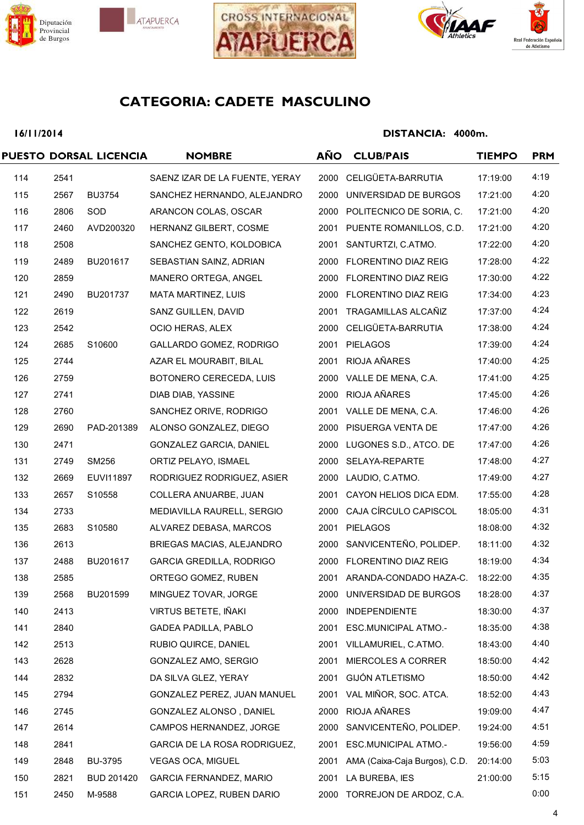







### 16/11/2014

|     |      | PUESTO DORSAL LICENCIA | <b>NOMBRE</b>                   | <b>AÑO</b> | <b>CLUB/PAIS</b>              | <b>TIEMPO</b> | <b>PRM</b> |
|-----|------|------------------------|---------------------------------|------------|-------------------------------|---------------|------------|
| 114 | 2541 |                        | SAENZ IZAR DE LA FUENTE, YERAY  |            | 2000 CELIGÜETA-BARRUTIA       | 17:19:00      | 4:19       |
| 115 | 2567 | <b>BU3754</b>          | SANCHEZ HERNANDO, ALEJANDRO     | 2000       | UNIVERSIDAD DE BURGOS         | 17:21:00      | 4:20       |
| 116 | 2806 | SOD                    | ARANCON COLAS, OSCAR            |            | 2000 POLITECNICO DE SORIA, C. | 17:21:00      | 4:20       |
| 117 | 2460 | AVD200320              | HERNANZ GILBERT, COSME          |            | 2001 PUENTE ROMANILLOS, C.D.  | 17:21:00      | 4:20       |
| 118 | 2508 |                        | SANCHEZ GENTO, KOLDOBICA        |            | 2001 SANTURTZI, C.ATMO.       | 17:22:00      | 4:20       |
| 119 | 2489 | BU201617               | SEBASTIAN SAINZ, ADRIAN         |            | 2000 FLORENTINO DIAZ REIG     | 17:28:00      | 4:22       |
| 120 | 2859 |                        | MANERO ORTEGA, ANGEL            |            | 2000 FLORENTINO DIAZ REIG     | 17:30:00      | 4:22       |
| 121 | 2490 | BU201737               | MATA MARTINEZ, LUIS             |            | 2000 FLORENTINO DIAZ REIG     | 17:34:00      | 4:23       |
| 122 | 2619 |                        | SANZ GUILLEN, DAVID             |            | 2001 TRAGAMILLAS ALCAÑIZ      | 17:37:00      | 4:24       |
| 123 | 2542 |                        | OCIO HERAS, ALEX                |            | 2000 CELIGÜETA-BARRUTIA       | 17:38:00      | 4:24       |
| 124 | 2685 | S10600                 | GALLARDO GOMEZ, RODRIGO         |            | 2001 PIELAGOS                 | 17:39:00      | 4:24       |
| 125 | 2744 |                        | AZAR EL MOURABIT, BILAL         |            | 2001 RIOJA AÑARES             | 17:40:00      | 4:25       |
| 126 | 2759 |                        | BOTONERO CERECEDA, LUIS         |            | 2000 VALLE DE MENA, C.A.      | 17:41:00      | 4:25       |
| 127 | 2741 |                        | DIAB DIAB, YASSINE              |            | 2000 RIOJA AÑARES             | 17:45:00      | 4:26       |
| 128 | 2760 |                        | SANCHEZ ORIVE, RODRIGO          |            | 2001 VALLE DE MENA, C.A.      | 17:46:00      | 4:26       |
| 129 | 2690 | PAD-201389             | ALONSO GONZALEZ, DIEGO          |            | 2000 PISUERGA VENTA DE        | 17:47:00      | 4:26       |
| 130 | 2471 |                        | GONZALEZ GARCIA, DANIEL         |            | 2000 LUGONES S.D., ATCO. DE   | 17:47:00      | 4:26       |
| 131 | 2749 | SM256                  | ORTIZ PELAYO, ISMAEL            |            | 2000 SELAYA-REPARTE           | 17:48:00      | 4:27       |
| 132 | 2669 | EUVI11897              | RODRIGUEZ RODRIGUEZ, ASIER      |            | 2000 LAUDIO, C.ATMO.          | 17:49:00      | 4:27       |
| 133 | 2657 | S10558                 | COLLERA ANUARBE, JUAN           |            | 2001 CAYON HELIOS DICA EDM.   | 17:55:00      | 4:28       |
| 134 | 2733 |                        | MEDIAVILLA RAURELL, SERGIO      | 2000       | CAJA CÍRCULO CAPISCOL         | 18:05:00      | 4:31       |
| 135 | 2683 | S10580                 | ALVAREZ DEBASA, MARCOS          |            | 2001 PIELAGOS                 | 18:08:00      | 4:32       |
| 136 | 2613 |                        | BRIEGAS MACIAS, ALEJANDRO       | 2000       | SANVICENTEÑO, POLIDEP.        | 18:11:00      | 4:32       |
| 137 | 2488 | BU201617               | <b>GARCIA GREDILLA, RODRIGO</b> |            | 2000 FLORENTINO DIAZ REIG     | 18:19:00      | 4:34       |
| 138 | 2585 |                        | ORTEGO GOMEZ, RUBEN             |            | 2001 ARANDA-CONDADO HAZA-C.   | 18:22:00      | 4:35       |
| 139 | 2568 | BU201599               | MINGUEZ TOVAR, JORGE            |            | 2000 UNIVERSIDAD DE BURGOS    | 18:28:00      | 4:37       |
| 140 | 2413 |                        | VIRTUS BETETE, IÑAKI            | 2000       | <b>INDEPENDIENTE</b>          | 18:30:00      | 4:37       |
| 141 | 2840 |                        | <b>GADEA PADILLA, PABLO</b>     |            | 2001 ESC.MUNICIPAL ATMO.-     | 18:35:00      | 4:38       |
| 142 | 2513 |                        | RUBIO QUIRCE, DANIEL            |            | 2001 VILLAMURIEL, C.ATMO.     | 18:43:00      | 4:40       |
| 143 | 2628 |                        | GONZALEZ AMO, SERGIO            | 2001       | MIERCOLES A CORRER            | 18:50:00      | 4:42       |
| 144 | 2832 |                        | DA SILVA GLEZ, YERAY            | 2001       | <b>GIJÓN ATLETISMO</b>        | 18:50:00      | 4:42       |
| 145 | 2794 |                        | GONZALEZ PEREZ, JUAN MANUEL     | 2001       | VAL MIÑOR, SOC. ATCA.         | 18:52:00      | 4:43       |
| 146 | 2745 |                        | GONZALEZ ALONSO, DANIEL         | 2000       | RIOJA AÑARES                  | 19:09:00      | 4:47       |
| 147 | 2614 |                        | CAMPOS HERNANDEZ, JORGE         |            | 2000 SANVICENTEÑO, POLIDEP.   | 19:24:00      | 4:51       |
| 148 | 2841 |                        | GARCIA DE LA ROSA RODRIGUEZ,    | 2001       | <b>ESC.MUNICIPAL ATMO.-</b>   | 19:56:00      | 4:59       |
| 149 | 2848 | <b>BU-3795</b>         | <b>VEGAS OCA, MIGUEL</b>        | 2001       | AMA (Caixa-Caja Burgos), C.D. | 20:14:00      | 5:03       |
| 150 | 2821 | <b>BUD 201420</b>      | GARCIA FERNANDEZ, MARIO         |            | 2001 LA BUREBA, IES           | 21:00:00      | 5:15       |
| 151 | 2450 | M-9588                 | GARCIA LOPEZ, RUBEN DARIO       |            | 2000 TORREJON DE ARDOZ, C.A.  |               | 0:00       |